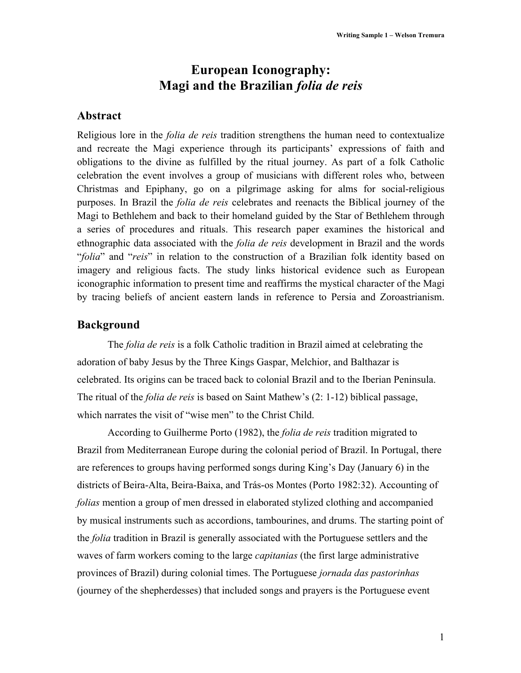# **European Iconography: Magi and the Brazilian** *folia de reis*

## **Abstract**

Religious lore in the *folia de reis* tradition strengthens the human need to contextualize and recreate the Magi experience through its participants' expressions of faith and obligations to the divine as fulfilled by the ritual journey. As part of a folk Catholic celebration the event involves a group of musicians with different roles who, between Christmas and Epiphany, go on a pilgrimage asking for alms for social-religious purposes. In Brazil the *folia de reis* celebrates and reenacts the Biblical journey of the Magi to Bethlehem and back to their homeland guided by the Star of Bethlehem through a series of procedures and rituals. This research paper examines the historical and ethnographic data associated with the *folia de reis* development in Brazil and the words "*folia*" and "*reis*" in relation to the construction of a Brazilian folk identity based on imagery and religious facts. The study links historical evidence such as European iconographic information to present time and reaffirms the mystical character of the Magi by tracing beliefs of ancient eastern lands in reference to Persia and Zoroastrianism.

## **Background**

The *folia de reis* is a folk Catholic tradition in Brazil aimed at celebrating the adoration of baby Jesus by the Three Kings Gaspar, Melchior, and Balthazar is celebrated. Its origins can be traced back to colonial Brazil and to the Iberian Peninsula. The ritual of the *folia de reis* is based on Saint Mathew's (2: 1-12) biblical passage, which narrates the visit of "wise men" to the Christ Child.

According to Guilherme Porto (1982), the *folia de reis* tradition migrated to Brazil from Mediterranean Europe during the colonial period of Brazil. In Portugal, there are references to groups having performed songs during King's Day (January 6) in the districts of Beira-Alta, Beira-Baixa, and Trás-os Montes (Porto 1982:32). Accounting of *folias* mention a group of men dressed in elaborated stylized clothing and accompanied by musical instruments such as accordions, tambourines, and drums. The starting point of the *folia* tradition in Brazil is generally associated with the Portuguese settlers and the waves of farm workers coming to the large *capitanias* (the first large administrative provinces of Brazil) during colonial times. The Portuguese *jornada das pastorinhas* (journey of the shepherdesses) that included songs and prayers is the Portuguese event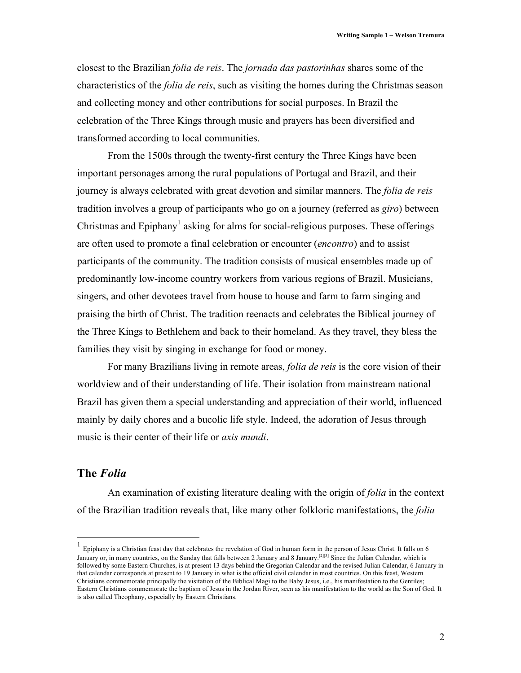closest to the Brazilian *folia de reis*. The *jornada das pastorinhas* shares some of the characteristics of the *folia de reis*, such as visiting the homes during the Christmas season and collecting money and other contributions for social purposes. In Brazil the celebration of the Three Kings through music and prayers has been diversified and transformed according to local communities.

From the 1500s through the twenty-first century the Three Kings have been important personages among the rural populations of Portugal and Brazil, and their journey is always celebrated with great devotion and similar manners. The *folia de reis*  tradition involves a group of participants who go on a journey (referred as *giro*) between Christmas and Epiphany<sup>1</sup> asking for alms for social-religious purposes. These offerings are often used to promote a final celebration or encounter (*encontro*) and to assist participants of the community. The tradition consists of musical ensembles made up of predominantly low-income country workers from various regions of Brazil. Musicians, singers, and other devotees travel from house to house and farm to farm singing and praising the birth of Christ. The tradition reenacts and celebrates the Biblical journey of the Three Kings to Bethlehem and back to their homeland. As they travel, they bless the families they visit by singing in exchange for food or money.

For many Brazilians living in remote areas, *folia de reis* is the core vision of their worldview and of their understanding of life. Their isolation from mainstream national Brazil has given them a special understanding and appreciation of their world, influenced mainly by daily chores and a bucolic life style. Indeed, the adoration of Jesus through music is their center of their life or *axis mundi*.

# **The** *Folia*

An examination of existing literature dealing with the origin of *folia* in the context of the Brazilian tradition reveals that, like many other folkloric manifestations, the *folia* 

 $\frac{1}{1}$ Epiphany is a Christian feast day that celebrates the revelation of God in human form in the person of Jesus Christ. It falls on 6 January or, in many countries, on the Sunday that falls between 2 January and 8 January.<sup>[2][3]</sup> Since the Julian Calendar, which is followed by some Eastern Churches, is at present 13 days behind the Gregorian Calendar and the revised Julian Calendar, 6 January in that calendar corresponds at present to 19 January in what is the official civil calendar in most countries. On this feast, Western Christians commemorate principally the visitation of the Biblical Magi to the Baby Jesus, i.e., his manifestation to the Gentiles; Eastern Christians commemorate the baptism of Jesus in the Jordan River, seen as his manifestation to the world as the Son of God. It is also called Theophany, especially by Eastern Christians.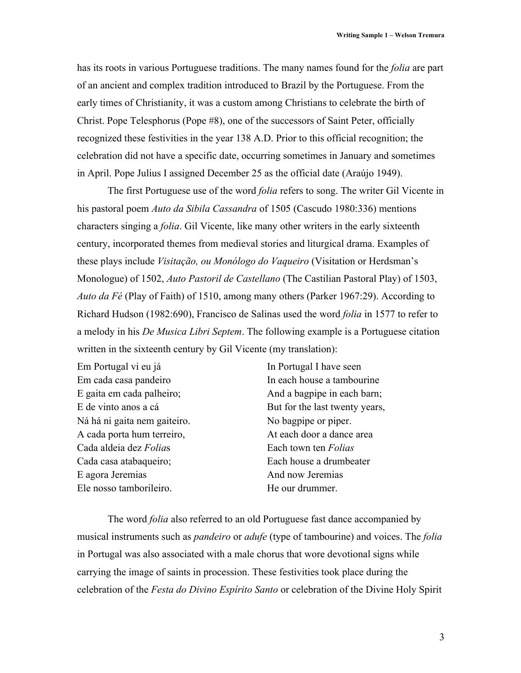has its roots in various Portuguese traditions. The many names found for the *folia* are part of an ancient and complex tradition introduced to Brazil by the Portuguese. From the early times of Christianity, it was a custom among Christians to celebrate the birth of Christ. Pope Telesphorus (Pope #8), one of the successors of Saint Peter, officially recognized these festivities in the year 138 A.D. Prior to this official recognition; the celebration did not have a specific date, occurring sometimes in January and sometimes in April. Pope Julius I assigned December 25 as the official date (Araújo 1949).

The first Portuguese use of the word *folia* refers to song. The writer Gil Vicente in his pastoral poem *Auto da Sibila Cassandra* of 1505 (Cascudo 1980:336) mentions characters singing a *folia*. Gil Vicente, like many other writers in the early sixteenth century, incorporated themes from medieval stories and liturgical drama. Examples of these plays include *Visitação, ou Monólogo do Vaqueiro* (Visitation or Herdsman's Monologue) of 1502, *Auto Pastoril de Castellano* (The Castilian Pastoral Play) of 1503, *Auto da Fé* (Play of Faith) of 1510, among many others (Parker 1967:29). According to Richard Hudson (1982:690), Francisco de Salinas used the word *folia* in 1577 to refer to a melody in his *De Musica Libri Septem*. The following example is a Portuguese citation written in the sixteenth century by Gil Vicente (my translation):

Em Portugal vi eu já Em cada casa pandeiro E gaita em cada palheiro; E de vinto anos a cá Ná há ni gaita nem gaiteiro. A cada porta hum terreiro, Cada aldeia dez *Folia*s Cada casa atabaqueiro; E agora Jeremias Ele nosso tamborileiro.

In Portugal I have seen In each house a tambourine And a bagpipe in each barn; But for the last twenty years, No bagpipe or piper. At each door a dance area Each town ten *Folias* Each house a drumbeater And now Jeremias He our drummer.

 The word *folia* also referred to an old Portuguese fast dance accompanied by musical instruments such as *pandeiro* or *adufe* (type of tambourine) and voices. The *folia* in Portugal was also associated with a male chorus that wore devotional signs while carrying the image of saints in procession. These festivities took place during the celebration of the *Festa do Divino Espírito Santo* or celebration of the Divine Holy Spirit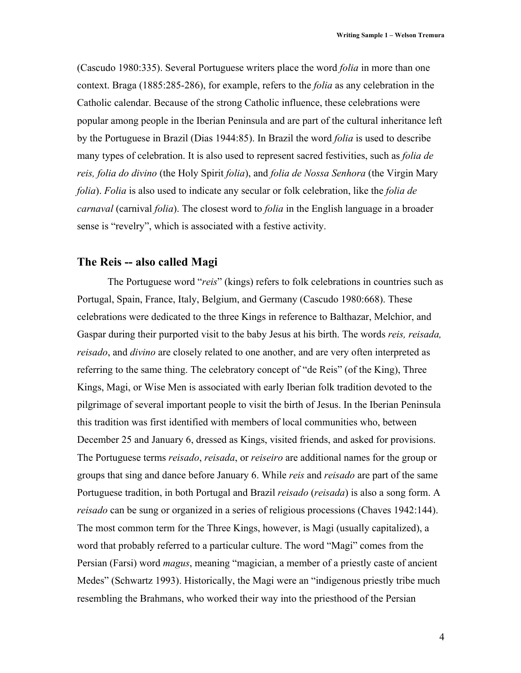(Cascudo 1980:335). Several Portuguese writers place the word *folia* in more than one context. Braga (1885:285-286), for example, refers to the *folia* as any celebration in the Catholic calendar. Because of the strong Catholic influence, these celebrations were popular among people in the Iberian Peninsula and are part of the cultural inheritance left by the Portuguese in Brazil (Dias 1944:85). In Brazil the word *folia* is used to describe many types of celebration. It is also used to represent sacred festivities, such as *folia de reis, folia do divino* (the Holy Spirit *folia*), and *folia de Nossa Senhora* (the Virgin Mary *folia*). *Folia* is also used to indicate any secular or folk celebration, like the *folia de carnaval* (carnival *folia*). The closest word to *folia* in the English language in a broader sense is "revelry", which is associated with a festive activity.

## **The Reis -- also called Magi**

The Portuguese word "*reis*" (kings) refers to folk celebrations in countries such as Portugal, Spain, France, Italy, Belgium, and Germany (Cascudo 1980:668). These celebrations were dedicated to the three Kings in reference to Balthazar, Melchior, and Gaspar during their purported visit to the baby Jesus at his birth. The words *reis, reisada, reisado*, and *divino* are closely related to one another, and are very often interpreted as referring to the same thing. The celebratory concept of "de Reis" (of the King), Three Kings, Magi, or Wise Men is associated with early Iberian folk tradition devoted to the pilgrimage of several important people to visit the birth of Jesus. In the Iberian Peninsula this tradition was first identified with members of local communities who, between December 25 and January 6, dressed as Kings, visited friends, and asked for provisions. The Portuguese terms *reisado*, *reisada*, or *reiseiro* are additional names for the group or groups that sing and dance before January 6. While *reis* and *reisado* are part of the same Portuguese tradition, in both Portugal and Brazil *reisado* (*reisada*) is also a song form. A *reisado* can be sung or organized in a series of religious processions (Chaves 1942:144). The most common term for the Three Kings, however, is Magi (usually capitalized), a word that probably referred to a particular culture. The word "Magi" comes from the Persian (Farsi) word *magus*, meaning "magician, a member of a priestly caste of ancient Medes" (Schwartz 1993). Historically, the Magi were an "indigenous priestly tribe much resembling the Brahmans, who worked their way into the priesthood of the Persian

4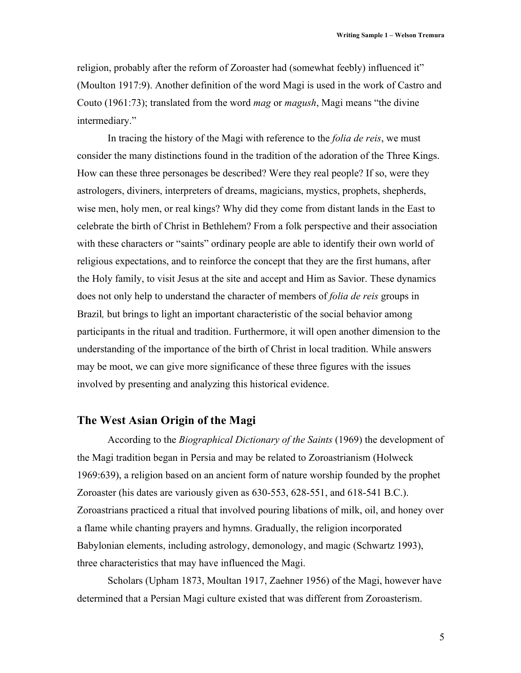religion, probably after the reform of Zoroaster had (somewhat feebly) influenced it" (Moulton 1917:9). Another definition of the word Magi is used in the work of Castro and Couto (1961:73); translated from the word *mag* or *magush*, Magi means "the divine intermediary."

In tracing the history of the Magi with reference to the *folia de reis*, we must consider the many distinctions found in the tradition of the adoration of the Three Kings. How can these three personages be described? Were they real people? If so, were they astrologers, diviners, interpreters of dreams, magicians, mystics, prophets, shepherds, wise men, holy men, or real kings? Why did they come from distant lands in the East to celebrate the birth of Christ in Bethlehem? From a folk perspective and their association with these characters or "saints" ordinary people are able to identify their own world of religious expectations, and to reinforce the concept that they are the first humans, after the Holy family, to visit Jesus at the site and accept and Him as Savior. These dynamics does not only help to understand the character of members of *folia de reis* groups in Brazil*,* but brings to light an important characteristic of the social behavior among participants in the ritual and tradition. Furthermore, it will open another dimension to the understanding of the importance of the birth of Christ in local tradition. While answers may be moot, we can give more significance of these three figures with the issues involved by presenting and analyzing this historical evidence.

# **The West Asian Origin of the Magi**

According to the *Biographical Dictionary of the Saints* (1969) the development of the Magi tradition began in Persia and may be related to Zoroastrianism (Holweck 1969:639), a religion based on an ancient form of nature worship founded by the prophet Zoroaster (his dates are variously given as 630-553, 628-551, and 618-541 B.C.). Zoroastrians practiced a ritual that involved pouring libations of milk, oil, and honey over a flame while chanting prayers and hymns. Gradually, the religion incorporated Babylonian elements, including astrology, demonology, and magic (Schwartz 1993), three characteristics that may have influenced the Magi.

Scholars (Upham 1873, Moultan 1917, Zaehner 1956) of the Magi, however have determined that a Persian Magi culture existed that was different from Zoroasterism.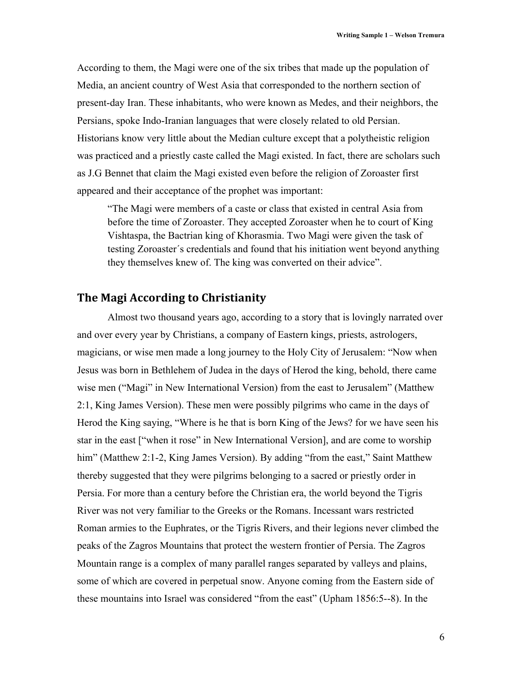According to them, the Magi were one of the six tribes that made up the population of Media, an ancient country of West Asia that corresponded to the northern section of present-day Iran. These inhabitants, who were known as Medes, and their neighbors, the Persians, spoke Indo-Iranian languages that were closely related to old Persian. Historians know very little about the Median culture except that a polytheistic religion was practiced and a priestly caste called the Magi existed. In fact, there are scholars such as J.G Bennet that claim the Magi existed even before the religion of Zoroaster first appeared and their acceptance of the prophet was important:

"The Magi were members of a caste or class that existed in central Asia from before the time of Zoroaster. They accepted Zoroaster when he to court of King Vishtaspa, the Bactrian king of Khorasmia. Two Magi were given the task of testing Zoroaster´s credentials and found that his initiation went beyond anything they themselves knew of. The king was converted on their advice".

# **The Magi According to Christianity**

Almost two thousand years ago, according to a story that is lovingly narrated over and over every year by Christians, a company of Eastern kings, priests, astrologers, magicians, or wise men made a long journey to the Holy City of Jerusalem: "Now when Jesus was born in Bethlehem of Judea in the days of Herod the king, behold, there came wise men ("Magi" in New International Version) from the east to Jerusalem" (Matthew 2:1, King James Version). These men were possibly pilgrims who came in the days of Herod the King saying, "Where is he that is born King of the Jews? for we have seen his star in the east ["when it rose" in New International Version], and are come to worship him" (Matthew 2:1-2, King James Version). By adding "from the east," Saint Matthew thereby suggested that they were pilgrims belonging to a sacred or priestly order in Persia. For more than a century before the Christian era, the world beyond the Tigris River was not very familiar to the Greeks or the Romans. Incessant wars restricted Roman armies to the Euphrates, or the Tigris Rivers, and their legions never climbed the peaks of the Zagros Mountains that protect the western frontier of Persia. The Zagros Mountain range is a complex of many parallel ranges separated by valleys and plains, some of which are covered in perpetual snow. Anyone coming from the Eastern side of these mountains into Israel was considered "from the east" (Upham 1856:5--8). In the

6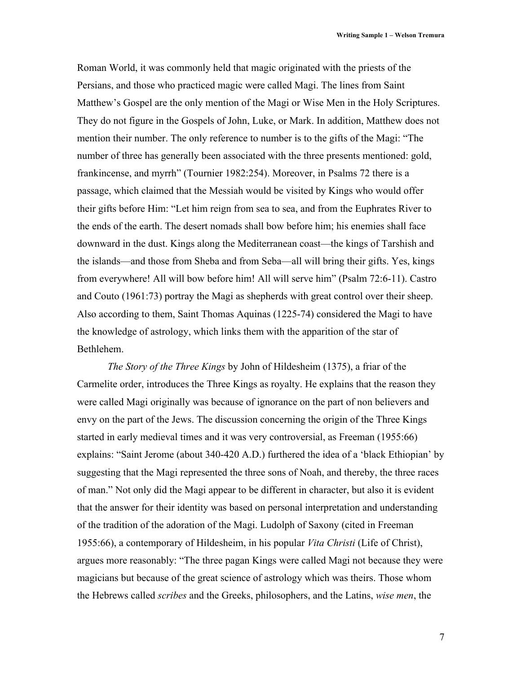Roman World, it was commonly held that magic originated with the priests of the Persians, and those who practiced magic were called Magi. The lines from Saint Matthew's Gospel are the only mention of the Magi or Wise Men in the Holy Scriptures. They do not figure in the Gospels of John, Luke, or Mark. In addition, Matthew does not mention their number. The only reference to number is to the gifts of the Magi: "The number of three has generally been associated with the three presents mentioned: gold, frankincense, and myrrh" (Tournier 1982:254). Moreover, in Psalms 72 there is a passage, which claimed that the Messiah would be visited by Kings who would offer their gifts before Him: "Let him reign from sea to sea, and from the Euphrates River to the ends of the earth. The desert nomads shall bow before him; his enemies shall face downward in the dust. Kings along the Mediterranean coast—the kings of Tarshish and the islands—and those from Sheba and from Seba—all will bring their gifts. Yes, kings from everywhere! All will bow before him! All will serve him" (Psalm 72:6-11). Castro and Couto (1961:73) portray the Magi as shepherds with great control over their sheep. Also according to them, Saint Thomas Aquinas (1225-74) considered the Magi to have the knowledge of astrology, which links them with the apparition of the star of Bethlehem.

*The Story of the Three Kings* by John of Hildesheim (1375), a friar of the Carmelite order, introduces the Three Kings as royalty. He explains that the reason they were called Magi originally was because of ignorance on the part of non believers and envy on the part of the Jews. The discussion concerning the origin of the Three Kings started in early medieval times and it was very controversial, as Freeman (1955:66) explains: "Saint Jerome (about 340-420 A.D.) furthered the idea of a 'black Ethiopian' by suggesting that the Magi represented the three sons of Noah, and thereby, the three races of man." Not only did the Magi appear to be different in character, but also it is evident that the answer for their identity was based on personal interpretation and understanding of the tradition of the adoration of the Magi. Ludolph of Saxony (cited in Freeman 1955:66), a contemporary of Hildesheim, in his popular *Vita Christi* (Life of Christ), argues more reasonably: "The three pagan Kings were called Magi not because they were magicians but because of the great science of astrology which was theirs. Those whom the Hebrews called *scribes* and the Greeks, philosophers, and the Latins, *wise men*, the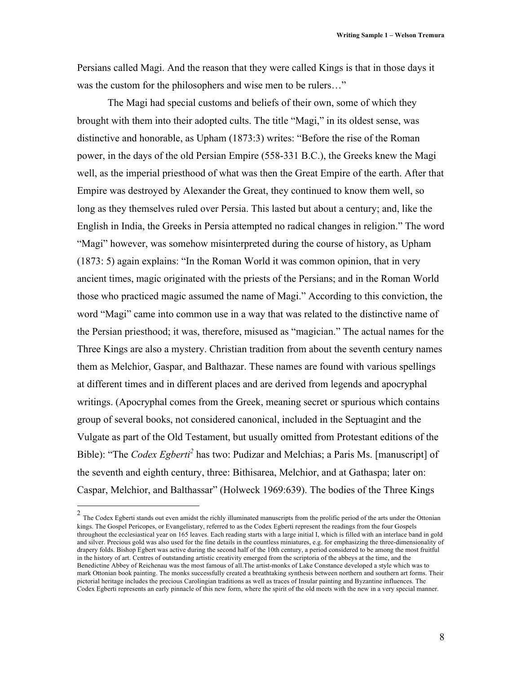Persians called Magi. And the reason that they were called Kings is that in those days it was the custom for the philosophers and wise men to be rulers..."

The Magi had special customs and beliefs of their own, some of which they brought with them into their adopted cults. The title "Magi," in its oldest sense, was distinctive and honorable, as Upham (1873:3) writes: "Before the rise of the Roman power, in the days of the old Persian Empire (558-331 B.C.), the Greeks knew the Magi well, as the imperial priesthood of what was then the Great Empire of the earth. After that Empire was destroyed by Alexander the Great, they continued to know them well, so long as they themselves ruled over Persia. This lasted but about a century; and, like the English in India, the Greeks in Persia attempted no radical changes in religion." The word "Magi" however, was somehow misinterpreted during the course of history, as Upham (1873: 5) again explains: "In the Roman World it was common opinion, that in very ancient times, magic originated with the priests of the Persians; and in the Roman World those who practiced magic assumed the name of Magi." According to this conviction, the word "Magi" came into common use in a way that was related to the distinctive name of the Persian priesthood; it was, therefore, misused as "magician." The actual names for the Three Kings are also a mystery. Christian tradition from about the seventh century names them as Melchior, Gaspar, and Balthazar. These names are found with various spellings at different times and in different places and are derived from legends and apocryphal writings. (Apocryphal comes from the Greek, meaning secret or spurious which contains group of several books, not considered canonical, included in the Septuagint and the Vulgate as part of the Old Testament, but usually omitted from Protestant editions of the Bible): "The *Codex Egberti*<sup>2</sup> has two: Pudizar and Melchias; a Paris Ms. [manuscript] of the seventh and eighth century, three: Bithisarea, Melchior, and at Gathaspa; later on: Caspar, Melchior, and Balthassar" (Holweck 1969:639). The bodies of the Three Kings

<sup>&</sup>lt;sup>2</sup> The Codex Egberti stands out even amidst the richly illuminated manuscripts from the prolific period of the arts under the Ottonian kings. The Gospel Pericopes, or Evangelistary, referred to as the Codex Egberti represent the readings from the four Gospels throughout the ecclesiastical year on 165 leaves. Each reading starts with a large initial I, which is filled with an interlace band in gold and silver. Precious gold was also used for the fine details in the countless miniatures, e.g. for emphasizing the three-dimensionality of drapery folds. Bishop Egbert was active during the second half of the 10th century, a period considered to be among the most fruitful in the history of art. Centres of outstanding artistic creativity emerged from the scriptoria of the abbeys at the time, and the Benedictine Abbey of Reichenau was the most famous of all.The artist-monks of Lake Constance developed a style which was to mark Ottonian book painting. The monks successfully created a breathtaking synthesis between northern and southern art forms. Their pictorial heritage includes the precious Carolingian traditions as well as traces of Insular painting and Byzantine influences. The Codex Egberti represents an early pinnacle of this new form, where the spirit of the old meets with the new in a very special manner.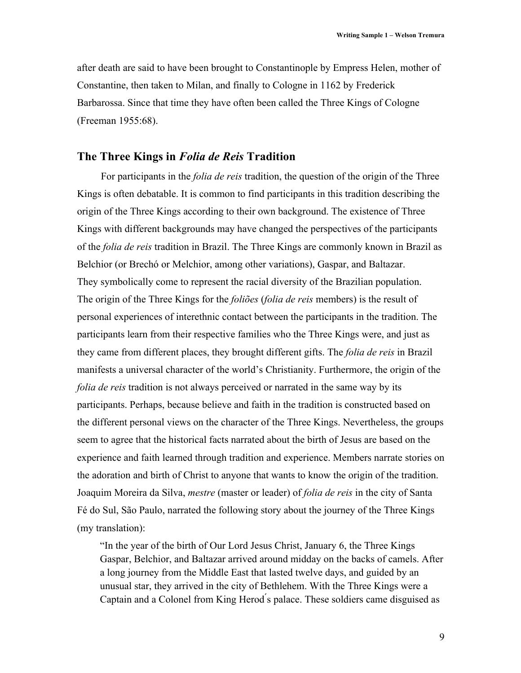after death are said to have been brought to Constantinople by Empress Helen, mother of Constantine, then taken to Milan, and finally to Cologne in 1162 by Frederick Barbarossa. Since that time they have often been called the Three Kings of Cologne (Freeman 1955:68).

#### **The Three Kings in** *Folia de Reis* **Tradition**

For participants in the *folia de reis* tradition, the question of the origin of the Three Kings is often debatable. It is common to find participants in this tradition describing the origin of the Three Kings according to their own background. The existence of Three Kings with different backgrounds may have changed the perspectives of the participants of the *folia de reis* tradition in Brazil. The Three Kings are commonly known in Brazil as Belchior (or Brechó or Melchior, among other variations), Gaspar, and Baltazar. They symbolically come to represent the racial diversity of the Brazilian population. The origin of the Three Kings for the *foliões* (*folia de reis* members) is the result of personal experiences of interethnic contact between the participants in the tradition. The participants learn from their respective families who the Three Kings were, and just as they came from different places, they brought different gifts. The *folia de reis* in Brazil manifests a universal character of the world's Christianity. Furthermore, the origin of the *folia de reis* tradition is not always perceived or narrated in the same way by its participants. Perhaps, because believe and faith in the tradition is constructed based on the different personal views on the character of the Three Kings. Nevertheless, the groups seem to agree that the historical facts narrated about the birth of Jesus are based on the experience and faith learned through tradition and experience. Members narrate stories on the adoration and birth of Christ to anyone that wants to know the origin of the tradition. Joaquim Moreira da Silva, *mestre* (master or leader) of *folia de reis* in the city of Santa Fé do Sul, São Paulo, narrated the following story about the journey of the Three Kings (my translation):

"In the year of the birth of Our Lord Jesus Christ, January 6, the Three Kings Gaspar, Belchior, and Baltazar arrived around midday on the backs of camels. After a long journey from the Middle East that lasted twelve days, and guided by an unusual star, they arrived in the city of Bethlehem. With the Three Kings were a Captain and a Colonel from King Herod ́s palace. These soldiers came disguised as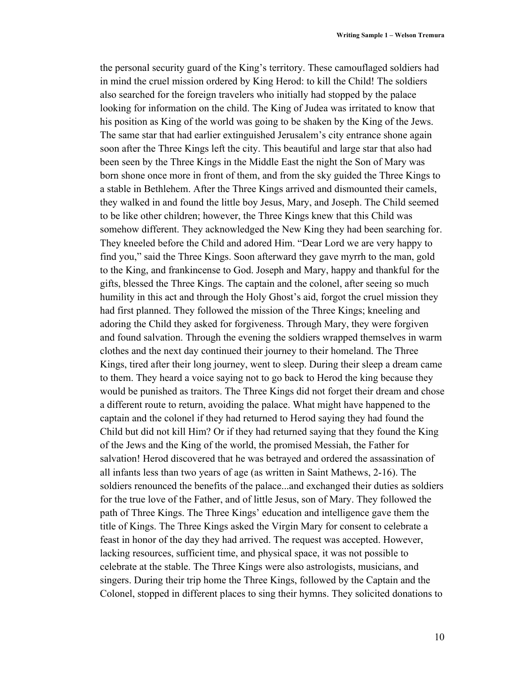the personal security guard of the King's territory. These camouflaged soldiers had in mind the cruel mission ordered by King Herod: to kill the Child! The soldiers also searched for the foreign travelers who initially had stopped by the palace looking for information on the child. The King of Judea was irritated to know that his position as King of the world was going to be shaken by the King of the Jews. The same star that had earlier extinguished Jerusalem's city entrance shone again soon after the Three Kings left the city. This beautiful and large star that also had been seen by the Three Kings in the Middle East the night the Son of Mary was born shone once more in front of them, and from the sky guided the Three Kings to a stable in Bethlehem. After the Three Kings arrived and dismounted their camels, they walked in and found the little boy Jesus, Mary, and Joseph. The Child seemed to be like other children; however, the Three Kings knew that this Child was somehow different. They acknowledged the New King they had been searching for. They kneeled before the Child and adored Him. "Dear Lord we are very happy to find you," said the Three Kings. Soon afterward they gave myrrh to the man, gold to the King, and frankincense to God. Joseph and Mary, happy and thankful for the gifts, blessed the Three Kings. The captain and the colonel, after seeing so much humility in this act and through the Holy Ghost's aid, forgot the cruel mission they had first planned. They followed the mission of the Three Kings; kneeling and adoring the Child they asked for forgiveness. Through Mary, they were forgiven and found salvation. Through the evening the soldiers wrapped themselves in warm clothes and the next day continued their journey to their homeland. The Three Kings, tired after their long journey, went to sleep. During their sleep a dream came to them. They heard a voice saying not to go back to Herod the king because they would be punished as traitors. The Three Kings did not forget their dream and chose a different route to return, avoiding the palace. What might have happened to the captain and the colonel if they had returned to Herod saying they had found the Child but did not kill Him? Or if they had returned saying that they found the King of the Jews and the King of the world, the promised Messiah, the Father for salvation! Herod discovered that he was betrayed and ordered the assassination of all infants less than two years of age (as written in Saint Mathews, 2-16). The soldiers renounced the benefits of the palace...and exchanged their duties as soldiers for the true love of the Father, and of little Jesus, son of Mary. They followed the path of Three Kings. The Three Kings' education and intelligence gave them the title of Kings. The Three Kings asked the Virgin Mary for consent to celebrate a feast in honor of the day they had arrived. The request was accepted. However, lacking resources, sufficient time, and physical space, it was not possible to celebrate at the stable. The Three Kings were also astrologists, musicians, and singers. During their trip home the Three Kings, followed by the Captain and the Colonel, stopped in different places to sing their hymns. They solicited donations to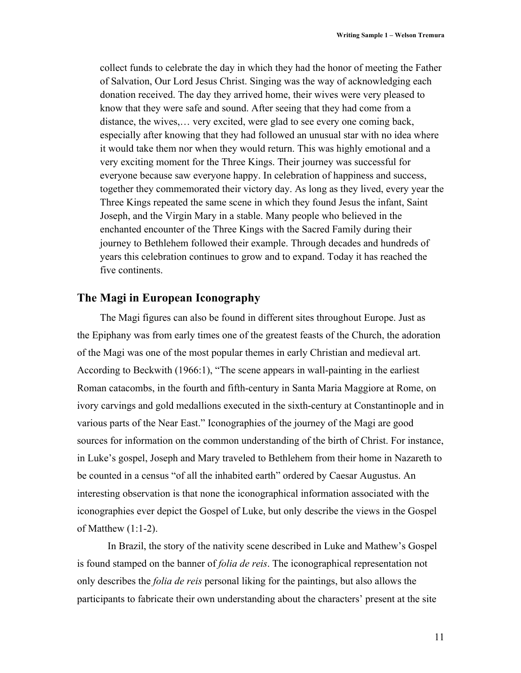collect funds to celebrate the day in which they had the honor of meeting the Father of Salvation, Our Lord Jesus Christ. Singing was the way of acknowledging each donation received. The day they arrived home, their wives were very pleased to know that they were safe and sound. After seeing that they had come from a distance, the wives,… very excited, were glad to see every one coming back, especially after knowing that they had followed an unusual star with no idea where it would take them nor when they would return. This was highly emotional and a very exciting moment for the Three Kings. Their journey was successful for everyone because saw everyone happy. In celebration of happiness and success, together they commemorated their victory day. As long as they lived, every year the Three Kings repeated the same scene in which they found Jesus the infant, Saint Joseph, and the Virgin Mary in a stable. Many people who believed in the enchanted encounter of the Three Kings with the Sacred Family during their journey to Bethlehem followed their example. Through decades and hundreds of years this celebration continues to grow and to expand. Today it has reached the five continents.

#### **The Magi in European Iconography**

 The Magi figures can also be found in different sites throughout Europe. Just as the Epiphany was from early times one of the greatest feasts of the Church, the adoration of the Magi was one of the most popular themes in early Christian and medieval art. According to Beckwith (1966:1), "The scene appears in wall-painting in the earliest Roman catacombs, in the fourth and fifth-century in Santa Maria Maggiore at Rome, on ivory carvings and gold medallions executed in the sixth-century at Constantinople and in various parts of the Near East." Iconographies of the journey of the Magi are good sources for information on the common understanding of the birth of Christ. For instance, in Luke's gospel, Joseph and Mary traveled to Bethlehem from their home in Nazareth to be counted in a census "of all the inhabited earth" ordered by Caesar Augustus. An interesting observation is that none the iconographical information associated with the iconographies ever depict the Gospel of Luke, but only describe the views in the Gospel of Matthew (1:1-2).

In Brazil, the story of the nativity scene described in Luke and Mathew's Gospel is found stamped on the banner of *folia de reis*. The iconographical representation not only describes the *folia de reis* personal liking for the paintings, but also allows the participants to fabricate their own understanding about the characters' present at the site

11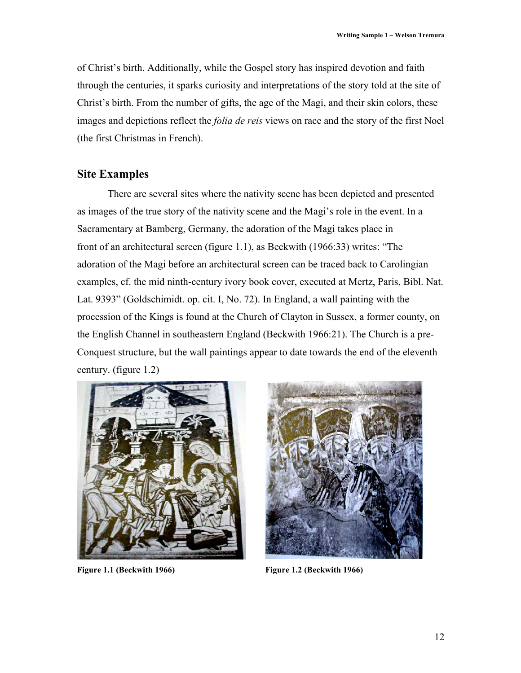of Christ's birth. Additionally, while the Gospel story has inspired devotion and faith through the centuries, it sparks curiosity and interpretations of the story told at the site of Christ's birth. From the number of gifts, the age of the Magi, and their skin colors, these images and depictions reflect the *folia de reis* views on race and the story of the first Noel (the first Christmas in French).

## **Site Examples**

There are several sites where the nativity scene has been depicted and presented as images of the true story of the nativity scene and the Magi's role in the event. In a Sacramentary at Bamberg, Germany, the adoration of the Magi takes place in front of an architectural screen (figure 1.1), as Beckwith (1966:33) writes: "The adoration of the Magi before an architectural screen can be traced back to Carolingian examples, cf. the mid ninth-century ivory book cover, executed at Mertz, Paris, Bibl. Nat. Lat. 9393" (Goldschimidt. op. cit. I, No. 72). In England, a wall painting with the procession of the Kings is found at the Church of Clayton in Sussex, a former county, on the English Channel in southeastern England (Beckwith 1966:21). The Church is a pre-Conquest structure, but the wall paintings appear to date towards the end of the eleventh century. (figure 1.2)



Figure 1.1 (Beckwith 1966) **Figure 1.2 (Beckwith 1966)** 

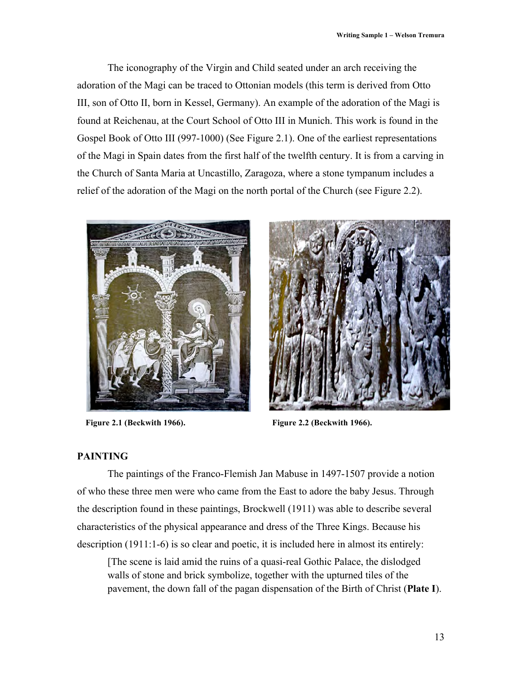The iconography of the Virgin and Child seated under an arch receiving the adoration of the Magi can be traced to Ottonian models (this term is derived from Otto III, son of Otto II, born in Kessel, Germany). An example of the adoration of the Magi is found at Reichenau, at the Court School of Otto III in Munich. This work is found in the Gospel Book of Otto III (997-1000) (See Figure 2.1). One of the earliest representations of the Magi in Spain dates from the first half of the twelfth century. It is from a carving in the Church of Santa Maria at Uncastillo, Zaragoza, where a stone tympanum includes a relief of the adoration of the Magi on the north portal of the Church (see Figure 2.2).





**Figure 2.1 (Beckwith 1966). Figure 2.2 (Beckwith 1966).**

#### **PAINTING**

The paintings of the Franco-Flemish Jan Mabuse in 1497-1507 provide a notion of who these three men were who came from the East to adore the baby Jesus. Through the description found in these paintings, Brockwell (1911) was able to describe several characteristics of the physical appearance and dress of the Three Kings. Because his description (1911:1-6) is so clear and poetic, it is included here in almost its entirely:

[The scene is laid amid the ruins of a quasi-real Gothic Palace, the dislodged walls of stone and brick symbolize, together with the upturned tiles of the pavement, the down fall of the pagan dispensation of the Birth of Christ (**Plate I**).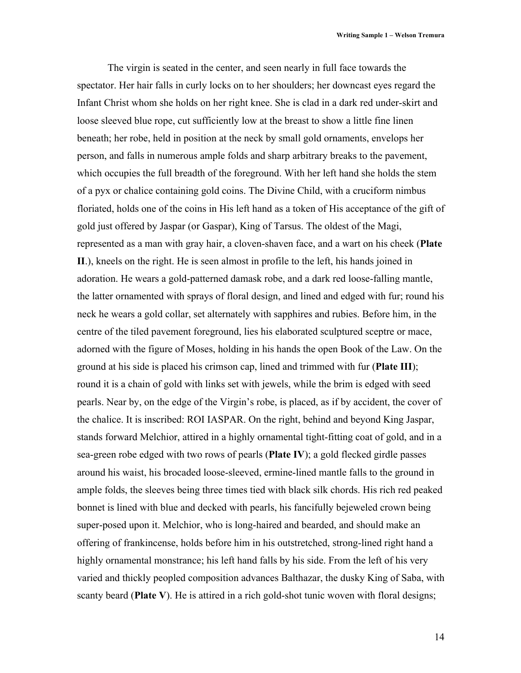The virgin is seated in the center, and seen nearly in full face towards the spectator. Her hair falls in curly locks on to her shoulders; her downcast eyes regard the Infant Christ whom she holds on her right knee. She is clad in a dark red under-skirt and loose sleeved blue rope, cut sufficiently low at the breast to show a little fine linen beneath; her robe, held in position at the neck by small gold ornaments, envelops her person, and falls in numerous ample folds and sharp arbitrary breaks to the pavement, which occupies the full breadth of the foreground. With her left hand she holds the stem of a pyx or chalice containing gold coins. The Divine Child, with a cruciform nimbus floriated, holds one of the coins in His left hand as a token of His acceptance of the gift of gold just offered by Jaspar (or Gaspar), King of Tarsus. The oldest of the Magi, represented as a man with gray hair, a cloven-shaven face, and a wart on his cheek (**Plate II**.), kneels on the right. He is seen almost in profile to the left, his hands joined in adoration. He wears a gold-patterned damask robe, and a dark red loose-falling mantle, the latter ornamented with sprays of floral design, and lined and edged with fur; round his neck he wears a gold collar, set alternately with sapphires and rubies. Before him, in the centre of the tiled pavement foreground, lies his elaborated sculptured sceptre or mace, adorned with the figure of Moses, holding in his hands the open Book of the Law. On the ground at his side is placed his crimson cap, lined and trimmed with fur (**Plate III**); round it is a chain of gold with links set with jewels, while the brim is edged with seed pearls. Near by, on the edge of the Virgin's robe, is placed, as if by accident, the cover of the chalice. It is inscribed: ROI IASPAR. On the right, behind and beyond King Jaspar, stands forward Melchior, attired in a highly ornamental tight-fitting coat of gold, and in a sea-green robe edged with two rows of pearls (**Plate IV**); a gold flecked girdle passes around his waist, his brocaded loose-sleeved, ermine-lined mantle falls to the ground in ample folds, the sleeves being three times tied with black silk chords. His rich red peaked bonnet is lined with blue and decked with pearls, his fancifully bejeweled crown being super-posed upon it. Melchior, who is long-haired and bearded, and should make an offering of frankincense, holds before him in his outstretched, strong-lined right hand a highly ornamental monstrance; his left hand falls by his side. From the left of his very varied and thickly peopled composition advances Balthazar, the dusky King of Saba, with scanty beard (**Plate V**). He is attired in a rich gold-shot tunic woven with floral designs;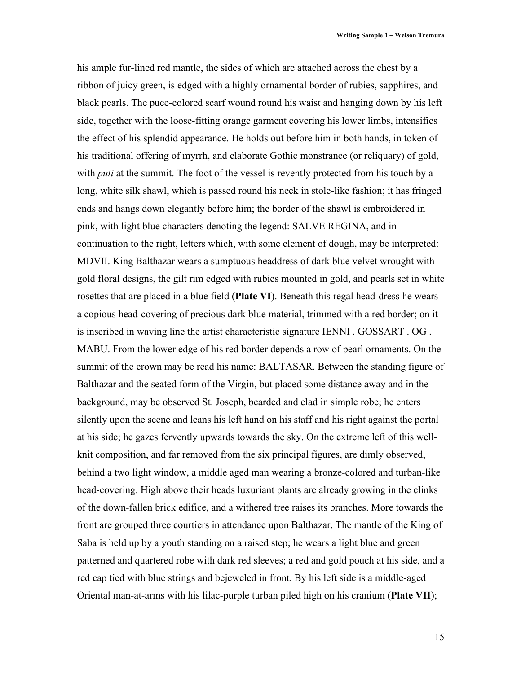his ample fur-lined red mantle, the sides of which are attached across the chest by a ribbon of juicy green, is edged with a highly ornamental border of rubies, sapphires, and black pearls. The puce-colored scarf wound round his waist and hanging down by his left side, together with the loose-fitting orange garment covering his lower limbs, intensifies the effect of his splendid appearance. He holds out before him in both hands, in token of his traditional offering of myrrh, and elaborate Gothic monstrance (or reliquary) of gold, with *puti* at the summit. The foot of the vessel is revently protected from his touch by a long, white silk shawl, which is passed round his neck in stole-like fashion; it has fringed ends and hangs down elegantly before him; the border of the shawl is embroidered in pink, with light blue characters denoting the legend: SALVE REGINA, and in continuation to the right, letters which, with some element of dough, may be interpreted: MDVII. King Balthazar wears a sumptuous headdress of dark blue velvet wrought with gold floral designs, the gilt rim edged with rubies mounted in gold, and pearls set in white rosettes that are placed in a blue field (**Plate VI**). Beneath this regal head-dress he wears a copious head-covering of precious dark blue material, trimmed with a red border; on it is inscribed in waving line the artist characteristic signature IENNI . GOSSART . OG . MABU. From the lower edge of his red border depends a row of pearl ornaments. On the summit of the crown may be read his name: BALTASAR. Between the standing figure of Balthazar and the seated form of the Virgin, but placed some distance away and in the background, may be observed St. Joseph, bearded and clad in simple robe; he enters silently upon the scene and leans his left hand on his staff and his right against the portal at his side; he gazes fervently upwards towards the sky. On the extreme left of this wellknit composition, and far removed from the six principal figures, are dimly observed, behind a two light window, a middle aged man wearing a bronze-colored and turban-like head-covering. High above their heads luxuriant plants are already growing in the clinks of the down-fallen brick edifice, and a withered tree raises its branches. More towards the front are grouped three courtiers in attendance upon Balthazar. The mantle of the King of Saba is held up by a youth standing on a raised step; he wears a light blue and green patterned and quartered robe with dark red sleeves; a red and gold pouch at his side, and a red cap tied with blue strings and bejeweled in front. By his left side is a middle-aged Oriental man-at-arms with his lilac-purple turban piled high on his cranium (**Plate VII**);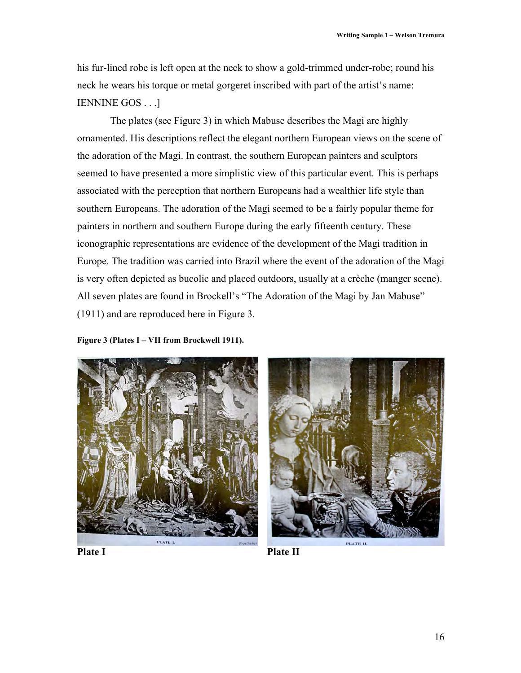his fur-lined robe is left open at the neck to show a gold-trimmed under-robe; round his neck he wears his torque or metal gorgeret inscribed with part of the artist's name: IENNINE GOS . . .]

 The plates (see Figure 3) in which Mabuse describes the Magi are highly ornamented. His descriptions reflect the elegant northern European views on the scene of the adoration of the Magi. In contrast, the southern European painters and sculptors seemed to have presented a more simplistic view of this particular event. This is perhaps associated with the perception that northern Europeans had a wealthier life style than southern Europeans. The adoration of the Magi seemed to be a fairly popular theme for painters in northern and southern Europe during the early fifteenth century. These iconographic representations are evidence of the development of the Magi tradition in Europe. The tradition was carried into Brazil where the event of the adoration of the Magi is very often depicted as bucolic and placed outdoors, usually at a crèche (manger scene). All seven plates are found in Brockell's "The Adoration of the Magi by Jan Mabuse" (1911) and are reproduced here in Figure 3.

**Figure 3 (Plates I – VII from Brockwell 1911).**



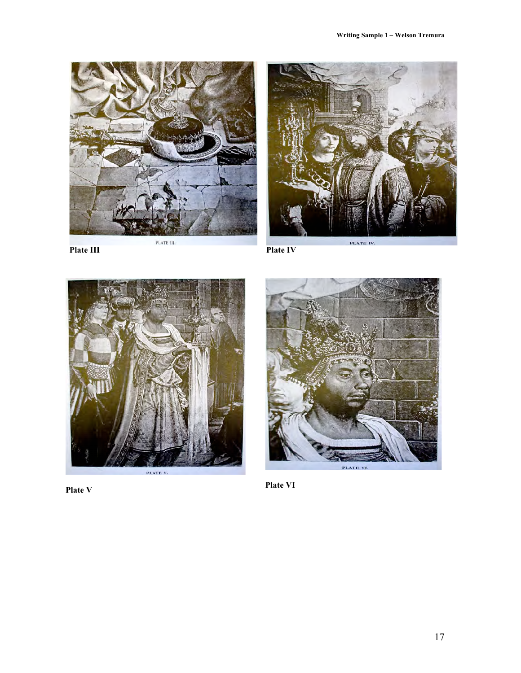



PLATE III.



PLATE IV.



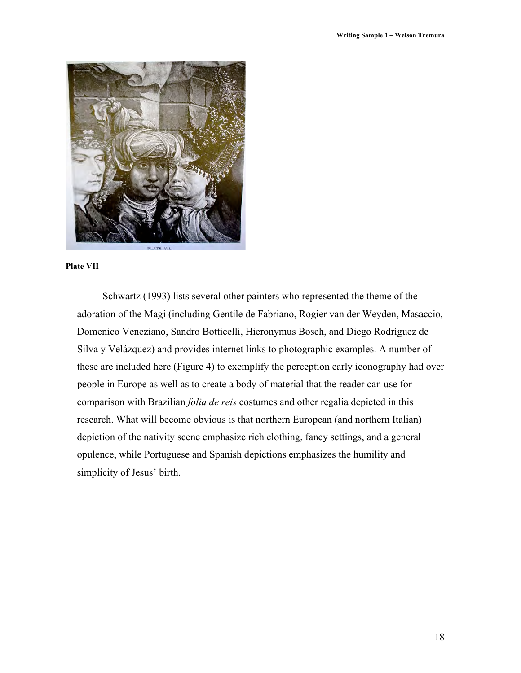

#### **Plate VII**

 Schwartz (1993) lists several other painters who represented the theme of the adoration of the Magi (including Gentile de Fabriano, Rogier van der Weyden, Masaccio, Domenico Veneziano, Sandro Botticelli, Hieronymus Bosch, and Diego Rodríguez de Silva y Velázquez) and provides internet links to photographic examples. A number of these are included here (Figure 4) to exemplify the perception early iconography had over people in Europe as well as to create a body of material that the reader can use for comparison with Brazilian *folia de reis* costumes and other regalia depicted in this research. What will become obvious is that northern European (and northern Italian) depiction of the nativity scene emphasize rich clothing, fancy settings, and a general opulence, while Portuguese and Spanish depictions emphasizes the humility and simplicity of Jesus' birth.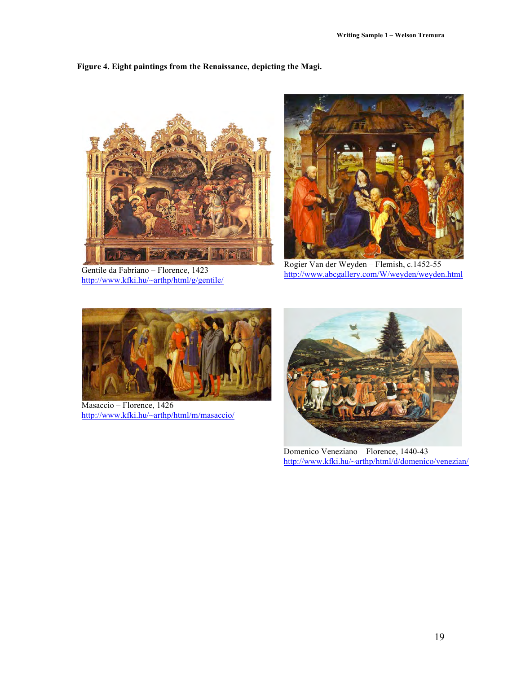#### **Figure 4. Eight paintings from the Renaissance, depicting the Magi.**



Gentile da Fabriano – Florence, 1423 http://www.kfki.hu/~arthp/html/g/gentile/



Rogier Van der Weyden – Flemish, c.1452-55 http://www.abcgallery.com/W/weyden/weyden.html



Masaccio – Florence, 1426 http://www.kfki.hu/~arthp/html/m/masaccio/



Domenico Veneziano – Florence, 1440-43 http://www.kfki.hu/~arthp/html/d/domenico/venezian/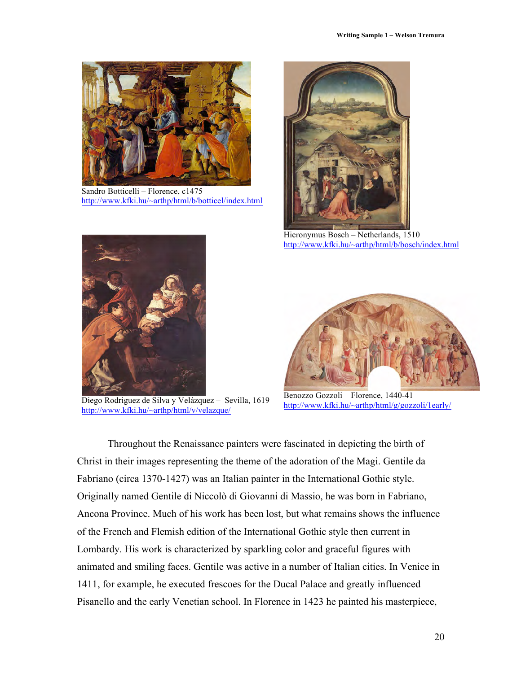

Sandro Botticelli – Florence, c1475 http://www.kfki.hu/~arthp/html/b/botticel/index.html



Hieronymus Bosch – Netherlands, 1510 http://www.kfki.hu/~arthp/html/b/bosch/index.html



Diego Rodriguez de Silva y Velázquez – Sevilla, 1619 http://www.kfki.hu/~arthp/html/v/velazque/



Benozzo Gozzoli – Florence, 1440-41 http://www.kfki.hu/~arthp/html/g/gozzoli/1early/

Throughout the Renaissance painters were fascinated in depicting the birth of Christ in their images representing the theme of the adoration of the Magi. Gentile da Fabriano (circa 1370-1427) was an Italian painter in the International Gothic style. Originally named Gentile di Niccolò di Giovanni di Massio, he was born in Fabriano, Ancona Province. Much of his work has been lost, but what remains shows the influence of the French and Flemish edition of the International Gothic style then current in Lombardy. His work is characterized by sparkling color and graceful figures with animated and smiling faces. Gentile was active in a number of Italian cities. In Venice in 1411, for example, he executed frescoes for the Ducal Palace and greatly influenced Pisanello and the early Venetian school. In Florence in 1423 he painted his masterpiece,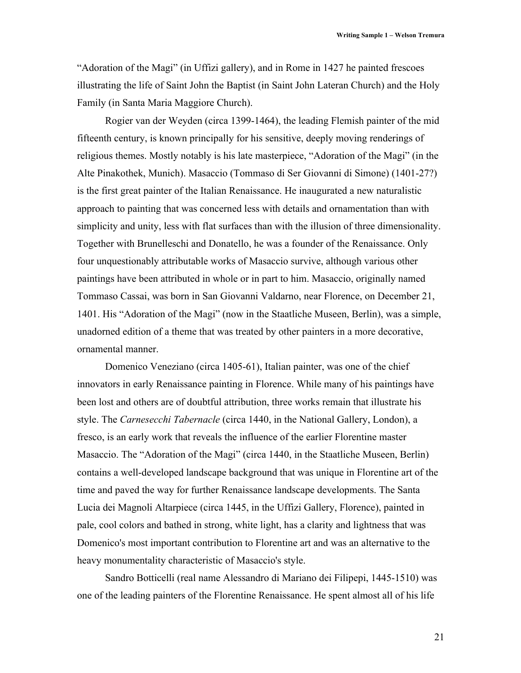"Adoration of the Magi" (in Uffizi gallery), and in Rome in 1427 he painted frescoes illustrating the life of Saint John the Baptist (in Saint John Lateran Church) and the Holy Family (in Santa Maria Maggiore Church).

 Rogier van der Weyden (circa 1399-1464), the leading Flemish painter of the mid fifteenth century, is known principally for his sensitive, deeply moving renderings of religious themes. Mostly notably is his late masterpiece, "Adoration of the Magi" (in the Alte Pinakothek, Munich). Masaccio (Tommaso di Ser Giovanni di Simone) (1401-27?) is the first great painter of the Italian Renaissance. He inaugurated a new naturalistic approach to painting that was concerned less with details and ornamentation than with simplicity and unity, less with flat surfaces than with the illusion of three dimensionality. Together with Brunelleschi and Donatello, he was a founder of the Renaissance. Only four unquestionably attributable works of Masaccio survive, although various other paintings have been attributed in whole or in part to him. Masaccio, originally named Tommaso Cassai, was born in San Giovanni Valdarno, near Florence, on December 21, 1401. His "Adoration of the Magi" (now in the Staatliche Museen, Berlin), was a simple, unadorned edition of a theme that was treated by other painters in a more decorative, ornamental manner.

 Domenico Veneziano (circa 1405-61), Italian painter, was one of the chief innovators in early Renaissance painting in Florence. While many of his paintings have been lost and others are of doubtful attribution, three works remain that illustrate his style. The *Carnesecchi Tabernacle* (circa 1440, in the National Gallery, London), a fresco, is an early work that reveals the influence of the earlier Florentine master Masaccio. The "Adoration of the Magi" (circa 1440, in the Staatliche Museen, Berlin) contains a well-developed landscape background that was unique in Florentine art of the time and paved the way for further Renaissance landscape developments. The Santa Lucia dei Magnoli Altarpiece (circa 1445, in the Uffizi Gallery, Florence), painted in pale, cool colors and bathed in strong, white light, has a clarity and lightness that was Domenico's most important contribution to Florentine art and was an alternative to the heavy monumentality characteristic of Masaccio's style.

 Sandro Botticelli (real name Alessandro di Mariano dei Filipepi, 1445-1510) was one of the leading painters of the Florentine Renaissance. He spent almost all of his life

21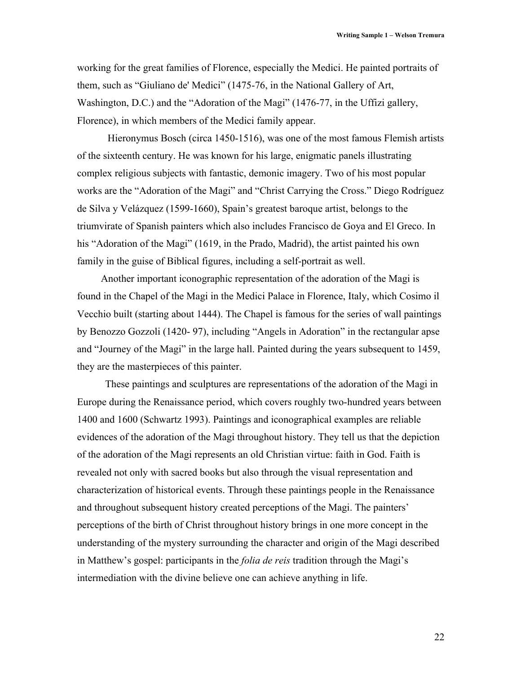working for the great families of Florence, especially the Medici. He painted portraits of them, such as "Giuliano de' Medici" (1475-76, in the National Gallery of Art, Washington, D.C.) and the "Adoration of the Magi" (1476-77, in the Uffizi gallery, Florence), in which members of the Medici family appear.

Hieronymus Bosch (circa 1450-1516), was one of the most famous Flemish artists of the sixteenth century. He was known for his large, enigmatic panels illustrating complex religious subjects with fantastic, demonic imagery. Two of his most popular works are the "Adoration of the Magi" and "Christ Carrying the Cross." Diego Rodríguez de Silva y Velázquez (1599-1660), Spain's greatest baroque artist, belongs to the triumvirate of Spanish painters which also includes Francisco de Goya and El Greco. In his "Adoration of the Magi" (1619, in the Prado, Madrid), the artist painted his own family in the guise of Biblical figures, including a self-portrait as well.

Another important iconographic representation of the adoration of the Magi is found in the Chapel of the Magi in the Medici Palace in Florence, Italy, which Cosimo il Vecchio built (starting about 1444). The Chapel is famous for the series of wall paintings by Benozzo Gozzoli (1420- 97), including "Angels in Adoration" in the rectangular apse and "Journey of the Magi" in the large hall. Painted during the years subsequent to 1459, they are the masterpieces of this painter.

 These paintings and sculptures are representations of the adoration of the Magi in Europe during the Renaissance period, which covers roughly two-hundred years between 1400 and 1600 (Schwartz 1993). Paintings and iconographical examples are reliable evidences of the adoration of the Magi throughout history. They tell us that the depiction of the adoration of the Magi represents an old Christian virtue: faith in God. Faith is revealed not only with sacred books but also through the visual representation and characterization of historical events. Through these paintings people in the Renaissance and throughout subsequent history created perceptions of the Magi. The painters' perceptions of the birth of Christ throughout history brings in one more concept in the understanding of the mystery surrounding the character and origin of the Magi described in Matthew's gospel: participants in the *folia de reis* tradition through the Magi's intermediation with the divine believe one can achieve anything in life.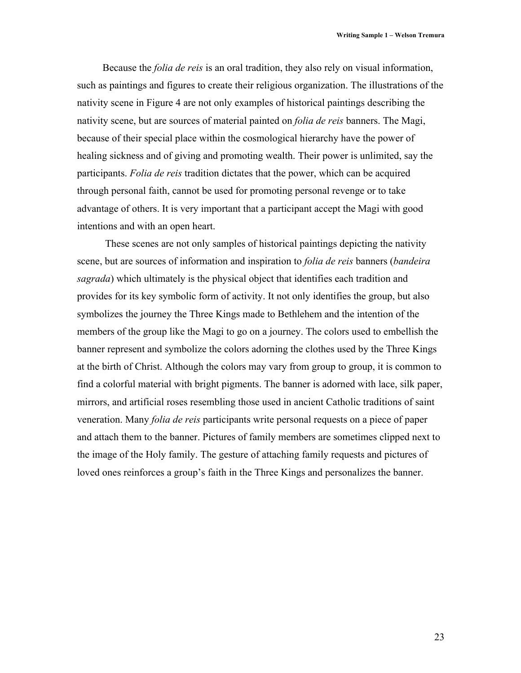Because the *folia de reis* is an oral tradition, they also rely on visual information, such as paintings and figures to create their religious organization. The illustrations of the nativity scene in Figure 4 are not only examples of historical paintings describing the nativity scene, but are sources of material painted on *folia de reis* banners. The Magi, because of their special place within the cosmological hierarchy have the power of healing sickness and of giving and promoting wealth. Their power is unlimited, say the participants. *Folia de reis* tradition dictates that the power, which can be acquired through personal faith, cannot be used for promoting personal revenge or to take advantage of others. It is very important that a participant accept the Magi with good intentions and with an open heart.

 These scenes are not only samples of historical paintings depicting the nativity scene, but are sources of information and inspiration to *folia de reis* banners (*bandeira sagrada*) which ultimately is the physical object that identifies each tradition and provides for its key symbolic form of activity. It not only identifies the group, but also symbolizes the journey the Three Kings made to Bethlehem and the intention of the members of the group like the Magi to go on a journey. The colors used to embellish the banner represent and symbolize the colors adorning the clothes used by the Three Kings at the birth of Christ. Although the colors may vary from group to group, it is common to find a colorful material with bright pigments. The banner is adorned with lace, silk paper, mirrors, and artificial roses resembling those used in ancient Catholic traditions of saint veneration. Many *folia de reis* participants write personal requests on a piece of paper and attach them to the banner. Pictures of family members are sometimes clipped next to the image of the Holy family. The gesture of attaching family requests and pictures of loved ones reinforces a group's faith in the Three Kings and personalizes the banner.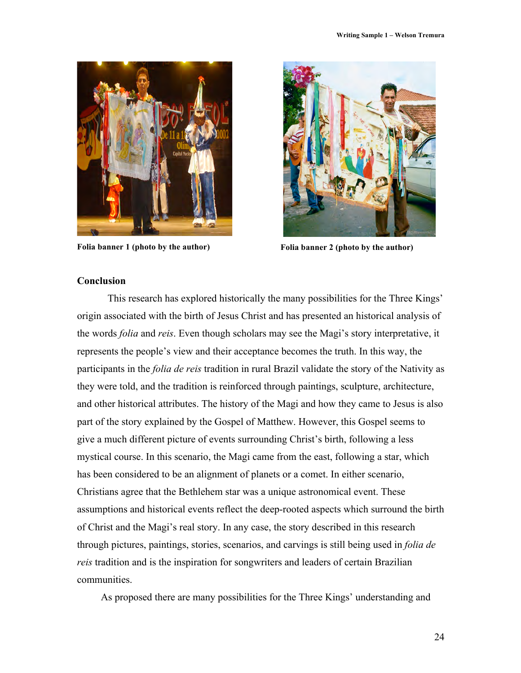

**Folia banner 1 (photo by the author) Folia banner 2 (photo by the author)**



#### **Conclusion**

This research has explored historically the many possibilities for the Three Kings' origin associated with the birth of Jesus Christ and has presented an historical analysis of the words *folia* and *reis*. Even though scholars may see the Magi's story interpretative, it represents the people's view and their acceptance becomes the truth. In this way, the participants in the *folia de reis* tradition in rural Brazil validate the story of the Nativity as they were told, and the tradition is reinforced through paintings, sculpture, architecture, and other historical attributes. The history of the Magi and how they came to Jesus is also part of the story explained by the Gospel of Matthew. However, this Gospel seems to give a much different picture of events surrounding Christ's birth, following a less mystical course. In this scenario, the Magi came from the east, following a star, which has been considered to be an alignment of planets or a comet. In either scenario, Christians agree that the Bethlehem star was a unique astronomical event. These assumptions and historical events reflect the deep-rooted aspects which surround the birth of Christ and the Magi's real story. In any case, the story described in this research through pictures, paintings, stories, scenarios, and carvings is still being used in *folia de reis* tradition and is the inspiration for songwriters and leaders of certain Brazilian communities.

As proposed there are many possibilities for the Three Kings' understanding and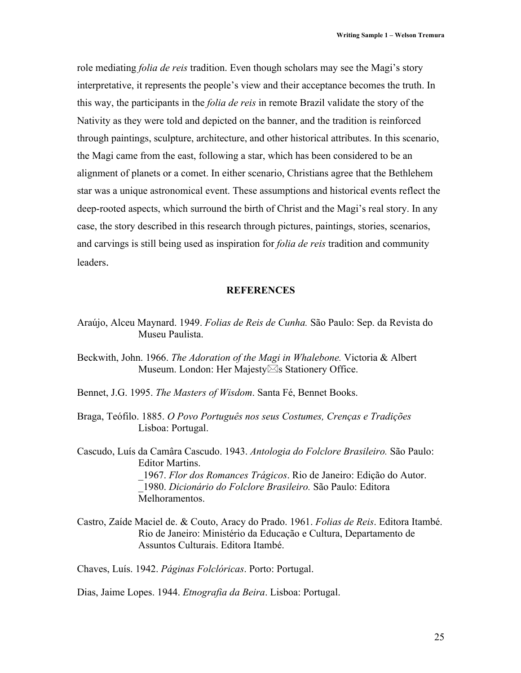role mediating *folia de reis* tradition. Even though scholars may see the Magi's story interpretative, it represents the people's view and their acceptance becomes the truth. In this way, the participants in the *folia de reis* in remote Brazil validate the story of the Nativity as they were told and depicted on the banner, and the tradition is reinforced through paintings, sculpture, architecture, and other historical attributes. In this scenario, the Magi came from the east, following a star, which has been considered to be an alignment of planets or a comet. In either scenario, Christians agree that the Bethlehem star was a unique astronomical event. These assumptions and historical events reflect the deep-rooted aspects, which surround the birth of Christ and the Magi's real story. In any case, the story described in this research through pictures, paintings, stories, scenarios, and carvings is still being used as inspiration for *folia de reis* tradition and community leaders.

#### **REFERENCES**

Araújo, Alceu Maynard. 1949. *Folias de Reis de Cunha.* São Paulo: Sep. da Revista do Museu Paulista.

Beckwith, John. 1966. *The Adoration of the Magi in Whalebone.* Victoria & Albert Museum. London: Her Majesty $\boxtimes$ s Stationery Office.

- Bennet, J.G. 1995. *The Masters of Wisdom*. Santa Fé, Bennet Books.
- Braga, Teófilo. 1885. *O Povo Português nos seus Costumes, Crenças e Tradições* Lisboa: Portugal.

Cascudo, Luís da Camâra Cascudo. 1943. *Antologia do Folclore Brasileiro.* São Paulo: Editor Martins. \_1967. *Flor dos Romances Trágicos*. Rio de Janeiro: Edição do Autor. \_1980. *Dicionário do Folclore Brasileiro.* São Paulo: Editora Melhoramentos.

Castro, Zaíde Maciel de. & Couto, Aracy do Prado. 1961. *Folias de Reis*. Editora Itambé. Rio de Janeiro: Ministério da Educação e Cultura, Departamento de Assuntos Culturais. Editora Itambé.

Chaves, Luís. 1942. *Páginas Folclóricas*. Porto: Portugal.

Dias, Jaime Lopes. 1944. *Etnografia da Beira*. Lisboa: Portugal.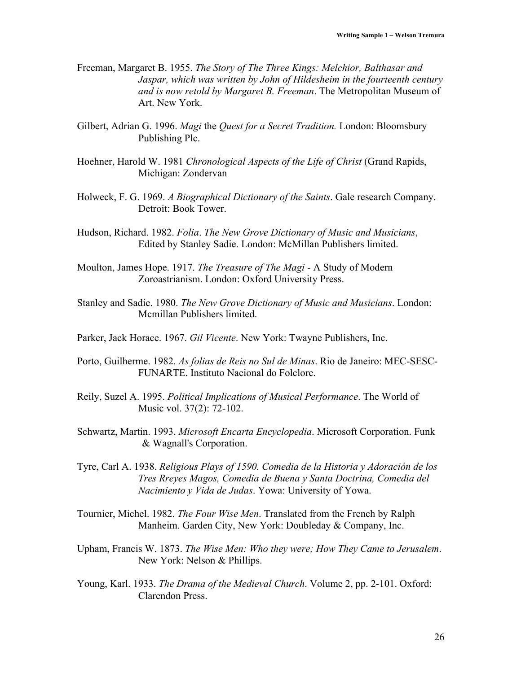- Freeman, Margaret B. 1955. *The Story of The Three Kings: Melchior, Balthasar and Jaspar, which was written by John of Hildesheim in the fourteenth century and is now retold by Margaret B. Freeman*. The Metropolitan Museum of Art. New York.
- Gilbert, Adrian G. 1996. *Magi* the *Quest for a Secret Tradition.* London: Bloomsbury Publishing Plc.
- Hoehner, Harold W. 1981 *Chronological Aspects of the Life of Christ* (Grand Rapids, Michigan: Zondervan
- Holweck, F. G. 1969. *A Biographical Dictionary of the Saints*. Gale research Company. Detroit: Book Tower.
- Hudson, Richard. 1982. *Folia*. *The New Grove Dictionary of Music and Musicians*, Edited by Stanley Sadie. London: McMillan Publishers limited.
- Moulton, James Hope. 1917. *The Treasure of The Magi* A Study of Modern Zoroastrianism. London: Oxford University Press.
- Stanley and Sadie. 1980. *The New Grove Dictionary of Music and Musicians*. London: Mcmillan Publishers limited.
- Parker, Jack Horace. 1967. *Gil Vicente*. New York: Twayne Publishers, Inc.
- Porto, Guilherme. 1982. *As folias de Reis no Sul de Minas*. Rio de Janeiro: MEC-SESC-FUNARTE. Instituto Nacional do Folclore.
- Reily, Suzel A. 1995. *Political Implications of Musical Performance*. The World of Music vol. 37(2): 72-102.
- Schwartz, Martin. 1993. *Microsoft Encarta Encyclopedia*. Microsoft Corporation. Funk & Wagnall's Corporation.
- Tyre, Carl A. 1938. *Religious Plays of 1590. Comedia de la Historia y Adoración de los Tres Rreyes Magos, Comedia de Buena y Santa Doctrina, Comedia del Nacimiento y Vida de Judas*. Yowa: University of Yowa.
- Tournier, Michel. 1982. *The Four Wise Men*. Translated from the French by Ralph Manheim. Garden City, New York: Doubleday & Company, Inc.
- Upham, Francis W. 1873. *The Wise Men: Who they were; How They Came to Jerusalem*. New York: Nelson & Phillips.
- Young, Karl. 1933. *The Drama of the Medieval Church*. Volume 2, pp. 2-101. Oxford: Clarendon Press.